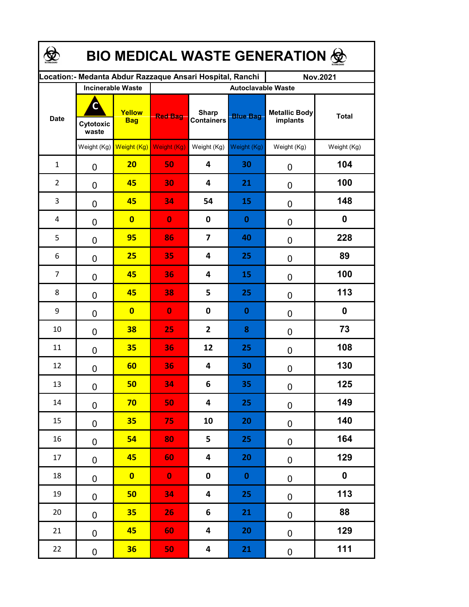| <b>BIO MEDICAL WASTE GENERATION ©</b>                                         |                         |                          |                           |                                   |                 |                                  |                  |  |  |  |
|-------------------------------------------------------------------------------|-------------------------|--------------------------|---------------------------|-----------------------------------|-----------------|----------------------------------|------------------|--|--|--|
| Location: - Medanta Abdur Razzaque Ansari Hospital, Ranchi<br><b>Nov.2021</b> |                         |                          |                           |                                   |                 |                                  |                  |  |  |  |
|                                                                               |                         | <b>Incinerable Waste</b> | <b>Autoclavable Waste</b> |                                   |                 |                                  |                  |  |  |  |
| <b>Date</b>                                                                   | C<br>Cytotoxic<br>waste | Yellow<br><b>Bag</b>     | <b>Red Bag</b>            | <b>Sharp</b><br><b>Containers</b> | <b>Blue Bag</b> | <b>Metallic Body</b><br>implants | <b>Total</b>     |  |  |  |
|                                                                               |                         | Weight (Kg) Weight (Kg)  | Weight (Kg)               | Weight (Kg)                       | Weight (Kg)     | Weight (Kg)                      | Weight (Kg)      |  |  |  |
| $\mathbf{1}$                                                                  | $\overline{0}$          | 20                       | 50                        | 4                                 | 30              | 0                                | 104              |  |  |  |
| $\overline{2}$                                                                | $\mathbf 0$             | 45                       | 30                        | 4                                 | 21              | $\mathbf 0$                      | 100              |  |  |  |
| 3                                                                             | $\mathbf 0$             | 45                       | 34                        | 54                                | 15              | $\mathbf 0$                      | 148              |  |  |  |
| 4                                                                             | $\mathbf 0$             | $\overline{\mathbf{0}}$  | $\bf{0}$                  | $\mathbf 0$                       | $\bf{0}$        | $\mathbf 0$                      | 0                |  |  |  |
| 5                                                                             | $\mathbf 0$             | 95                       | 86                        | $\overline{\mathbf{z}}$           | 40              | $\mathbf 0$                      | 228              |  |  |  |
| 6                                                                             | $\mathbf 0$             | 25                       | 35                        | 4                                 | 25              | $\mathbf 0$                      | 89               |  |  |  |
| $\overline{7}$                                                                | 0                       | 45                       | 36                        | 4                                 | 15              | $\mathbf 0$                      | 100              |  |  |  |
| 8                                                                             | 0                       | 45                       | 38                        | 5                                 | 25              | $\overline{0}$                   | 113              |  |  |  |
| 9                                                                             | 0                       | $\overline{\mathbf{0}}$  | $\bf{0}$                  | $\mathbf 0$                       | $\bf{0}$        | 0                                | 0                |  |  |  |
| 10                                                                            | 0                       | 38                       | 25                        | $\mathbf{2}$                      | 8               | 0                                | 73               |  |  |  |
| 11                                                                            | 0                       | 35                       | 36                        | 12                                | 25              | 0                                | 108              |  |  |  |
| 12                                                                            | 0                       | 60                       | 36                        | 4                                 | 30              | 0                                | 130              |  |  |  |
| 13                                                                            | $\mathbf 0$             | 50                       | 34                        | 6                                 | 35              | $\pmb{0}$                        | 125              |  |  |  |
| 14                                                                            | $\mathbf 0$             | 70                       | 50                        | 4                                 | 25              | $\pmb{0}$                        | 149              |  |  |  |
| 15                                                                            | 0                       | 35                       | 75                        | 10                                | 20              | $\pmb{0}$                        | 140              |  |  |  |
| 16                                                                            | 0                       | 54                       | 80                        | 5                                 | 25              | $\pmb{0}$                        | 164              |  |  |  |
| 17                                                                            | 0                       | 45                       | 60                        | 4                                 | 20              | $\pmb{0}$                        | 129              |  |  |  |
| 18                                                                            | 0                       | $\overline{\mathbf{0}}$  | $\bullet$                 | $\mathbf 0$                       | $\mathbf{0}$    | $\pmb{0}$                        | $\boldsymbol{0}$ |  |  |  |
| 19                                                                            | $\mathbf 0$             | 50                       | 34                        | 4                                 | 25              | $\pmb{0}$                        | 113              |  |  |  |
| 20                                                                            | $\mathbf 0$             | 35                       | 26                        | 6                                 | 21              | $\pmb{0}$                        | 88               |  |  |  |
| 21                                                                            | $\pmb{0}$               | 45                       | 60                        | $\overline{\mathbf{4}}$           | 20              | $\pmb{0}$                        | 129              |  |  |  |
| 22                                                                            | $\pmb{0}$               | 36                       | 50                        | $\overline{\mathbf{4}}$           | 21              | $\pmb{0}$                        | 111              |  |  |  |